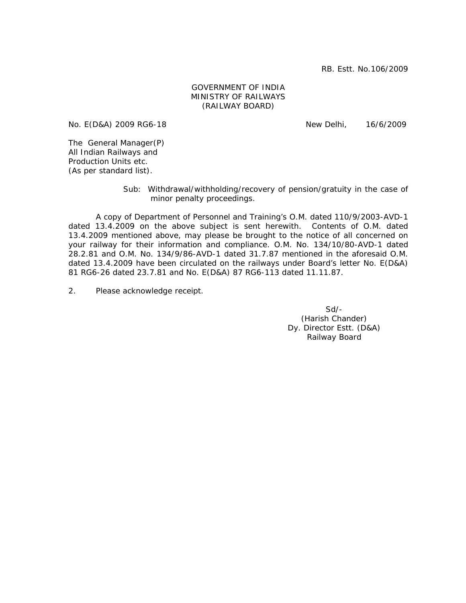RB. Estt. No.106/2009

## GOVERNMENT OF INDIA MINISTRY OF RAILWAYS (RAILWAY BOARD)

No. E(D&A) 2009 RG6-18 New Delhi, 16/6/2009

The General Manager(P) All Indian Railways and Production Units etc. (As per standard list).

> Sub: Withdrawal/withholding/recovery of pension/gratuity in the case of minor penalty proceedings.

 A copy of Department of Personnel and Training's O.M. dated 110/9/2003-AVD-1 dated 13.4.2009 on the above subject is sent herewith. Contents of O.M. dated 13.4.2009 mentioned above, may please be brought to the notice of all concerned on your railway for their information and compliance. O.M. No. 134/10/80-AVD-1 dated 28.2.81 and O.M. No. 134/9/86-AVD-1 dated 31.7.87 mentioned in the aforesaid O.M. dated 13.4.2009 have been circulated on the railways under Board's letter No. E(D&A) 81 RG6-26 dated 23.7.81 and No. E(D&A) 87 RG6-113 dated 11.11.87.

2. Please acknowledge receipt.

Sd/- (Harish Chander) Dy. Director Estt. (D&A) Railway Board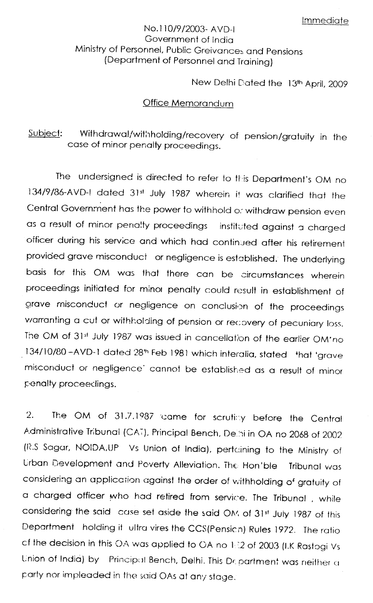## No.110/9/2003- AVD-L Government of India Ministry of Personnel, Public Greivances and Pensions (Department of Personnel and Training)

New Delhi Dated the 13th April, 2009

## Office Memorandum

## Withdrawal/withholding/recovery of pension/gratuity in the Subject: case of minor penalty proceedings.

The undersigned is directed to refer to this Department's OM no 134/9/86-AVD-I dated 31st July 1987 wherein it was clarified that the Central Government has the power to withhold or withdraw pension even as a result of minor penalty proceedings instituted against a charged officer during his service and which had continued after his retirement provided grave misconduct or negligence is established. The underlying basis for this OM was that there can be circumstances wherein proceedings initiated for minor penalty could result in establishment of grave misconduct or negligence on conclusion of the proceedings warranting a cut or withholding of pension or recovery of pecuniary loss. The CM of 31st July 1987 was issued in cancellation of the earlier OM'no 134/10/80-AVD-1 dated 28th Feb 1981 which interalia, stated that 'grave misconduct or negligence' cannot be established as a result of minor penalty proceedings.

The OM of 31.7.1987 came for scrutiny before the Central  $\mathcal{D}$ Administrative Tribunal (CAT), Principal Bench, Delhi in OA no 2068 of 2002 (R.S Sagar, NOIDA,UP Vs Union of India), pertaining to the Ministry of Urban Development and Poverty Alleviation. The Hon'ble Tribunal was considering an application against the order of withholding of gratuity of a charged officer who had retired from service. The Tribunal, while considering the said case set aside the said OM of 31st July 1987 of this Department holding it ultra vires the CCS(Pension) Rules 1972. The ratio of the decision in this OA was applied to OA no 1:22 of 2003 (I.K Rastogi Vs Union of India) by Principal Bench, Delhi. This Department was neither a party nor impleaded in the said OAs at any stage.